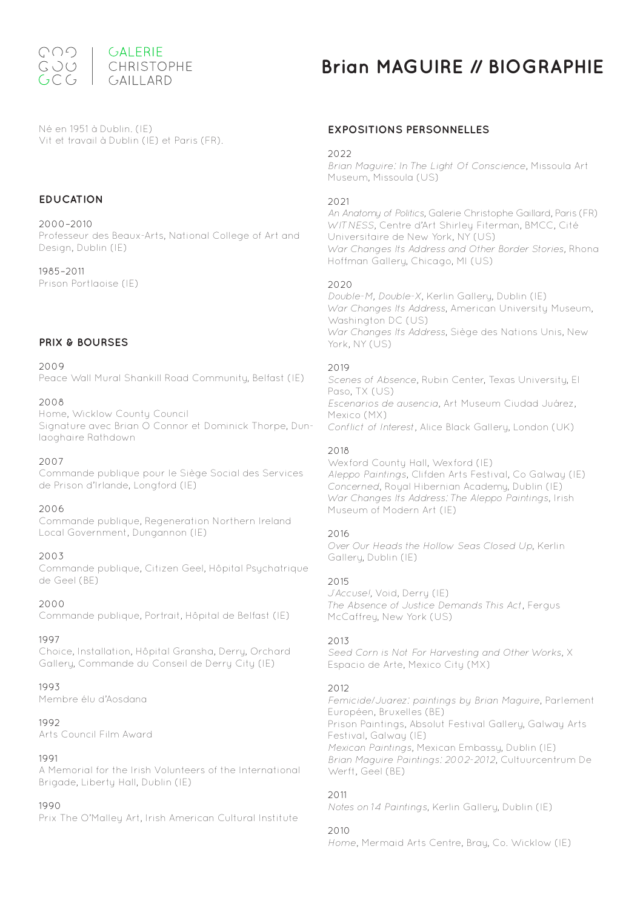

Né en 1951 à Dublin. (IE) Vit et travail à Dublin (IE) et Paris (FR).

# **EDUCATION**

2000–2010 Professeur des Beaux-Arts, National College of Art and Design, Dublin (IE)

1985–2011 Prison Portlaoise (IE)

#### **PRIX & BOURSES**

2009

Peace Wall Mural Shankill Road Community, Belfast (IE)

#### 2008

Home, Wicklow County Council Signature avec Brian O Connor et Dominick Thorpe, Dunlaoghaire Rathdown

#### 2007

Commande publique pour le Siège Social des Services de Prison d'Irlande, Longford (IE)

#### 2006

Commande publique, Regeneration Northern Ireland Local Government, Dungannon (IE)

#### 2003

Commande publique, Citizen Geel, Hôpital Psychatrique de Geel (BE)

#### 2000

Commande publique, Portrait, Hôpital de Belfast (IE)

#### 1997

Choice, Installation, Hôpital Gransha, Derry, Orchard Gallery, Commande du Conseil de Derry City (IE)

#### 1993

Membre élu d'Aosdana

#### 1992

Arts Council Film Award

#### 1991

A Memorial for the Irish Volunteers of the International Brigade, Liberty Hall, Dublin (IE)

#### 1990

Prix The O'Malley Art, Irish American Cultural Institute

# **Brian MAGUIRE // BIOGRAPHIE**

#### **EXPOSITIONS PERSONNELLES**

#### 2022

Brian Maguire: In The Light Of Conscience, Missoula Art Museum, Missoula (US)

#### $2021$

An Anatomy of Politics, Galerie Christophe Gaillard, Paris (FR) WITNESS, Centre d'Art Shirley Fiterman, BMCC, Cité Universitaire de New York, NY (US) War Changes Its Address and Other Border Stories, Rhona Hoffman Gallery, Chicago, MI (US)

#### 2020

Double-M, Double-X, Kerlin Gallery, Dublin (IE) War Changes Its Address, American University Museum, Washington DC (US) War Changes Its Address, Siège des Nations Unis, New York, NY (US)

#### 2019

Scenes of Absence, Rubin Center, Texas University, El Paso, TX (US) Escenarios de ausencia, Art Museum Ciudad Juárez, Mexico (MX) Conflict of Interest, Alice Black Gallery, London (UK)

#### 2018

Wexford County Hall, Wexford (IE) Aleppo Paintings, Clifden Arts Festival, Co Galway (IE) Concerned, Royal Hibernian Academy, Dublin (IE) War Changes Its Address: The Aleppo Paintings, Irish Museum of Modern Art (IE)

#### 2016

Over Our Heads the Hollow Seas Closed Up, Kerlin Gallery, Dublin (IE)

#### 2015

J'Accuse!, Void, Derry (IE) The Absence of Justice Demands This Act, Fergus McCaffrey, New York (US)

#### $2013$

Seed Corn is Not For Harvesting and Other Works, X Espacio de Arte, Mexico City (MX)

#### 2012

Femicide/Juarez: paintings by Brian Maguire, Parlement Européen, Bruxelles (BE) Prison Paintings, Absolut Festival Gallery, Galway Arts Festival, Galway (IE) Mexican Paintings, Mexican Embassy, Dublin (IE) Brian Maguire Paintings: 2002-2012, Cultuurcentrum De Werft, Geel (BE)

#### 2011

Notes on 14 Paintings, Kerlin Gallery, Dublin (IE)

#### 2010

Home, Mermaid Arts Centre, Bray, Co. Wicklow (IE)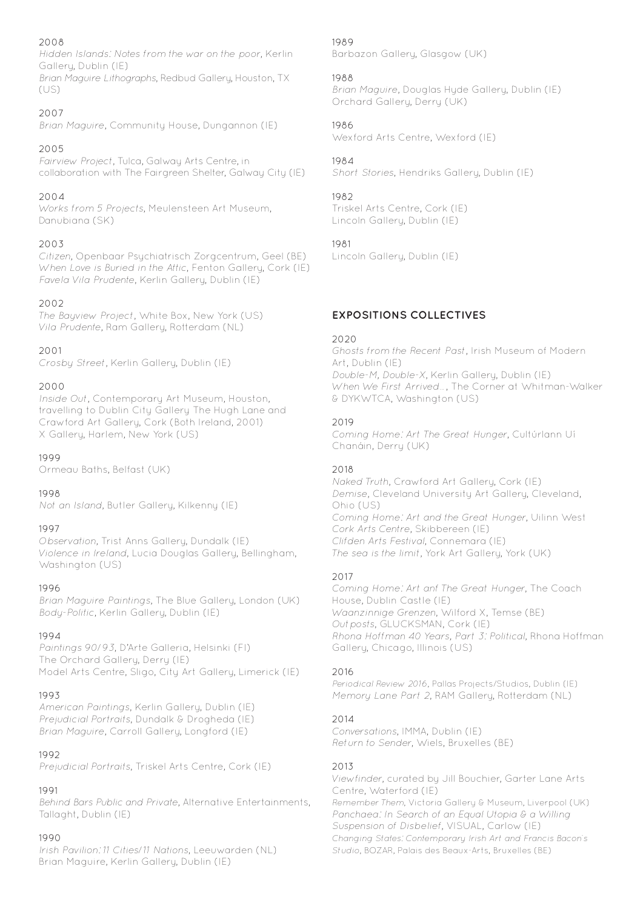# 2008

Hidden Islands: Notes from the war on the poor, Kerlin Gallery, Dublin (IE)

Brian Maguire Lithographs, Redbud Gallery, Houston, TX (US)

# 2007

Brian Maguire, Community House, Dungannon (IE)

## 2005

Fairview Project, Tulca, Galway Arts Centre, in collaboration with The Fairgreen Shelter, Galway City (IE)

## 2004

Works from 5 Projects, Meulensteen Art Museum, Danubiana (SK)

## 2003

Citizen, Openbaar Psychiatrisch Zorgcentrum, Geel (BE) When Love is Buried in the Attic, Fenton Gallery, Cork (IE) Favela Vila Prudente, Kerlin Gallery, Dublin (IE)

## 2002

The Bayview Project, White Box, New York (US) Vila Prudente, Ram Gallery, Rotterdam (NL)

## 2001

Crosby Street, Kerlin Gallery, Dublin (IE)

## 2000

Inside Out, Contemporary Art Museum, Houston, travelling to Dublin City Gallery The Hugh Lane and Crawford Art Gallery, Cork (Both Ireland, 2001) X Gallery, Harlem, New York (US)

## 1999

Ormeau Baths, Belfast (UK)

## 1998

Not an Island, Butler Gallery, Kilkenny (IE)

## 1997

Observation, Trist Anns Gallery, Dundalk (IE) Violence in Ireland, Lucia Douglas Gallery, Bellingham, Washington (US)

## 1996

Brian Maguire Paintings, The Blue Gallery, London (UK) Body-Politic, Kerlin Gallery, Dublin (IE)

## 1994

Paintings 90/93, D'Arte Galleria, Helsinki (FI) The Orchard Gallery, Derry (IE) Model Arts Centre, Sligo, City Art Gallery, Limerick (IE)

## 1993

American Paintings, Kerlin Gallery, Dublin (IE) Prejudicial Portraits, Dundalk & Drogheda (IE) Brian Maguire, Carroll Gallery, Longford (IE)

## 1992

Prejudicial Portraits, Triskel Arts Centre, Cork (IE)

# 1991

Behind Bars Public and Private, Alternative Entertainments, Tallaght, Dublin (IE)

# 1990

Irish Pavilion: 11 Cities/11 Nations, Leeuwarden (NL) Brian Maguire, Kerlin Gallery, Dublin (IE)

# 1989

Barbazon Gallery, Glasgow (UK)

## 1988

Brian Maguire, Douglas Hyde Gallery, Dublin (IE) Orchard Gallery, Derry (UK)

# 1986

Wexford Arts Centre, Wexford (IE)

## 1984

Short Stories, Hendriks Gallery, Dublin (IE)

## 1982

Triskel Arts Centre, Cork (IE) Lincoln Gallery, Dublin (IE)

## 1981

Lincoln Gallery, Dublin (IE)

# **EXPOSITIONS COLLECTIVES**

## 2020

Ghosts from the Recent Past, Irish Museum of Modern Art, Dublin (IE) Double-M, Double-X, Kerlin Gallery, Dublin (IE) When We First Arrived…, The Corner at Whitman-Walker & DYKWTCA, Washington (US)

## 2019

Coming Home: Art The Great Hunger, Cultúrlann Uí Chanáin, Derry (UK)

## 2018

Naked Truth, Crawford Art Gallery, Cork (IE) Demise, Cleveland University Art Gallery, Cleveland, Ohio (US) Coming Home: Art and the Great Hunger, Uilinn West Cork Arts Centre, Skibbereen (IE) Clifden Arts Festival, Connemara (IE) The sea is the limit, York Art Gallery, York (UK)

## 2017

Coming Home: Art anf The Great Hunger, The Coach House, Dublin Castle (IE) Waanzinnige Grenzen, Wilford X, Temse (BE) Outposts, GLUCKSMAN, Cork (IE) Rhona Hoffman 40 Years, Part 3: Political, Rhona Hoffman Gallery, Chicago, Illinois (US)

## 2016

Periodical Review 2016, Pallas Projects/Studios, Dublin (IE) Memory Lane Part 2, RAM Gallery, Rotterdam (NL)

# $2014$

Conversations, IMMA, Dublin (IE) Return to Sender, Wiels, Bruxelles (BE)

# 2013

Viewfinder, curated by Jill Bouchier, Garter Lane Arts Centre, Waterford (IE) Remember Them, Victoria Gallery & Museum, Liverpool (UK) Panchaea: In Search of an Equal Utopia & a Willing Suspension of Disbelief, VISUAL, Carlow (IE) Changing States: Contemporary Irish Art and Francis Bacon's Studio, BOZAR, Palais des Beaux-Arts, Bruxelles (BE)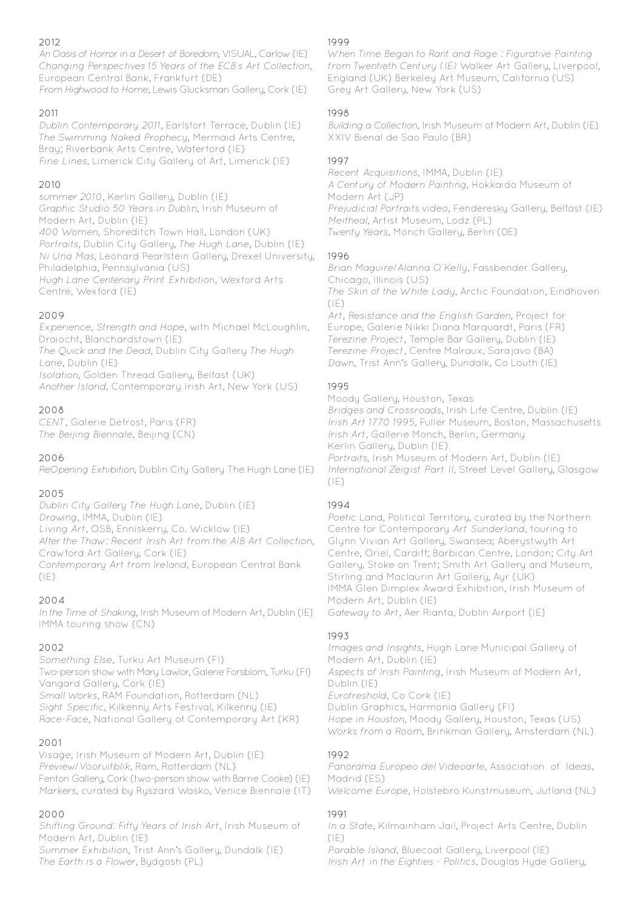# 2012

An Oasis of Horror in a Desert of Boredom, VISUAL, Carlow (IE) Changing Perspectives 15 Years of the ECB's Art Collection, European Central Bank, Frankfurt (DE) From Highwood to Home, Lewis Glucksman Gallery, Cork (IE)

# 2011

Dublin Contemporary 2011, Earlsfort Terrace, Dublin (IE) The Swimming Naked Prophecy, Mermaid Arts Centre, Bray; Riverbank Arts Centre, Waterford (IE) Fine Lines, Limerick City Gallery of Art, Limerick (IE)

# 2010

summer 2010, Kerlin Gallery, Dublin (IE) Graphic Studio 50 Years in Dublin, Irish Museum of Modern Art, Dublin (IE) 400 Women, Shoreditch Town Hall, London (UK) Portraits, Dublin City Gallery, The Hugh Lane, Dublin (IE) Ni Una Mas, Leonard Pearlstein Gallery, Drexel University, Philadelphia, Pennsylvania (US) Hugh Lane Centenary Print Exhibition, Wexford Arts Centre, Wexford (IE)

# 2009

Experience, Strength and Hope, with Michael McLoughlin, Draiocht, Blanchardstown (IE) The Quick and the Dead, Dublin City Gallery The Hugh Lane, Dublin (IE) Isolation, Golden Thread Gallery, Belfast (UK) Another Island, Contemporary Irish Art, New York (US)

## 2008

CENT, Galerie Defrost, Paris (FR) The Beijing Biennale, Beijing (CN)

# 2006

ReOpening Exhibition, Dublin City Gallery The Hugh Lane (IE)

## 2005

Dublin City Gallery The Hugh Lane, Dublin (IE) Drawing, IMMA, Dublin (IE) Living Art, OSB, Enniskerry, Co. Wicklow (IE) After the Thaw: Recent Irish Art from the AIB Art Collection, Crawford Art Gallery, Cork (IE) Contemporary Art from Ireland, European Central Bank  $(IE)$ 

## $2004$

In the Time of Shaking, Irish Museum of Modern Art, Dublin (IE) IMMA touring show (CN)

## 2002

Something Else, Turku Art Museum (FI) Two-person show with Mary Lawlor, Galerie Forsblom, Turku (FI) Vangard Gallery, Cork (IE) Small Works, RAM Foundation, Rotterdam (NL) Sight Specific, Kilkenny Arts Festival, Kilkenny (IE) Race-Face, National Gallery of Contemporary Art (KR)

## 2001

Visage, Irish Museum of Modern Art, Dublin (IE) Preview/Vooruitblik, Ram, Rotterdam (NL) Fenton Gallery, Cork (two-person show with Barrie Cooke) (IE) Markers, curated by Ryszard Wasko, Venice Biennale (IT)

# 2000

Shifting Ground: Fifty Years of Irish Art, Irish Museum of Modern Art, Dublin (IE) Summer Exhibition, Trist Ann's Gallery, Dundalk (IE) The Earth is a Flower, Bydgosh (PL)

# 1999

When Time Began to Rant and Rage : Figurative Painting from Twentieth Century (IE) Walker Art Gallery, Liverpool, England (UK) Berkeley Art Museum, California (US) Grey Art Gallery, New York (US)

## 1998

Building a Collection, Irish Museum of Modern Art, Dublin (IE) XXIV Bienal de Sao Paulo (BR)

## 1997

Recent Acquisitions, IMMA, Dublin (IE) A Century of Modern Painting, Hokkaido Museum of Modern Art (JP) Prejudicial Portraits video, Fenderesky Gallery, Belfast (IE) Meitheal, Artist Museum, Lodz (PL) Twenty Years, Monch Gallery, Berlin (DE)

## 1996

Brian Maguire/Alanna O'Kelly, Fassbender Gallery, Chicago, Illinois (US) The Skin of the White Lady, Arctic Foundation, Eindhoven  $(|F)$ Art, Resistance and the English Garden, Project for Europe, Galerie Nikki Diana Marquardt, Paris (FR) Terezine Project, Temple Bar Gallery, Dublin (IE) Terezine Project, Centre Malraux, Sarajavo (BA) Dawn, Trist Ann's Gallery, Dundalk, Co Louth (IE)

## 1995

Moody Gallery, Houston, Texas Bridges and Crossroads, Irish Life Centre, Dublin (IE) Irish Art 1770 1995, Fuller Museum, Boston, Massachusetts Irish Art, Gallerie Monch, Berlin, Germany Kerlin Gallery, Dublin (IE) Portraits, Irish Museum of Modern Art, Dublin (IE) International Zeigist Part II, Street Level Gallery, Glasgow  $(|F|)$ 

## 1994

Poetic Land, Political Territory, curated by the Northern Centre for Contemporary Art Sunderland, touring to Glynn Vivian Art Gallery, Swansea; Aberystwyth Art Centre, Oriel, Cardiff; Barbican Centre, London; City Art Gallery, Stoke on Trent; Smith Art Gallery and Museum, Stirling and Maclaurin Art Gallery, Ayr (UK) IMMA Glen Dimplex Award Exhibition, Irish Museum of Modern Art, Dublin (IE) Gateway to Art, Aer Rianta, Dublin Airport (IE)

## 1993

Images and Insights, Hugh Lane Municipal Gallery of Modern Art, Dublin (IE) Aspects of Irish Painting, Irish Museum of Modern Art, Dublin (IE) Eurotreshold, Co Cork (IE) Dublin Graphics, Harmonia Gallery (FI) Hope in Houston, Moody Gallery, Houston, Texas (US) Works from a Room, Brinkman Gallery, Amsterdam (NL)

## 1992

Panorama Europeo del Videoarte, Association of Ideas, Madrid (ES) Welcome Europe, Holstebro Kunstmuseum, Jutland (NL)

## 1991

In a State, Kilmainham Jail, Project Arts Centre, Dublin  $(IE)$ 

Parable Island, Bluecoat Gallery, Liverpool (IE) Irish Art in the Eighties - Politics, Douglas Hyde Gallery,